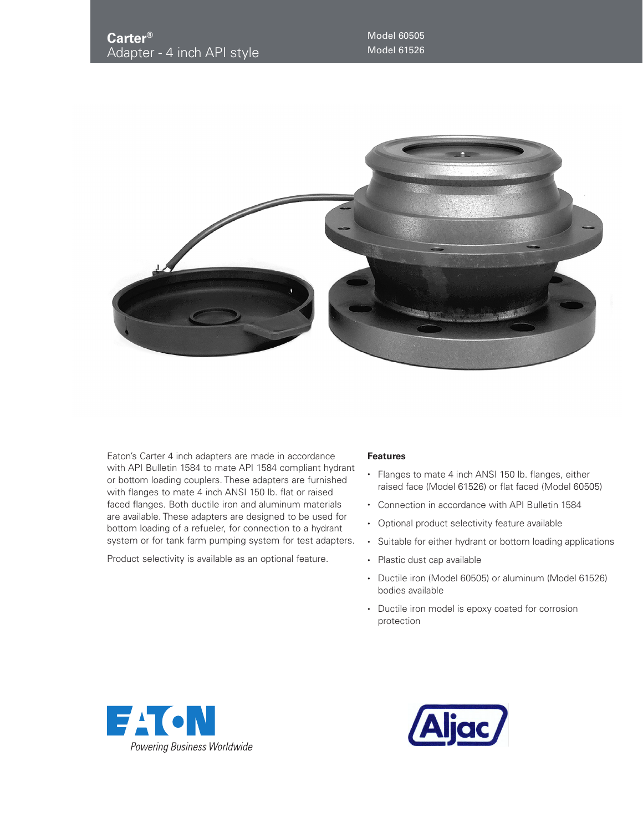

Eaton's Carter 4 inch adapters are made in accordance with API Bulletin 1584 to mate API 1584 compliant hydrant or bottom loading couplers. These adapters are furnished with flanges to mate 4 inch ANSI 150 lb. flat or raised faced flanges. Both ductile iron and aluminum materials are available. These adapters are designed to be used for bottom loading of a refueler, for connection to a hydrant system or for tank farm pumping system for test adapters.

Product selectivity is available as an optional feature.

## **Features**

- Flanges to mate 4 inch ANSI 150 lb. flanges, either raised face (Model 61526) or flat faced (Model 60505)
- Connection in accordance with API Bulletin 1584
- Optional product selectivity feature available
- Suitable for either hydrant or bottom loading applications
- Plastic dust cap available
- Ductile iron (Model 60505) or aluminum (Model 61526) bodies available
- Ductile iron model is epoxy coated for corrosion protection